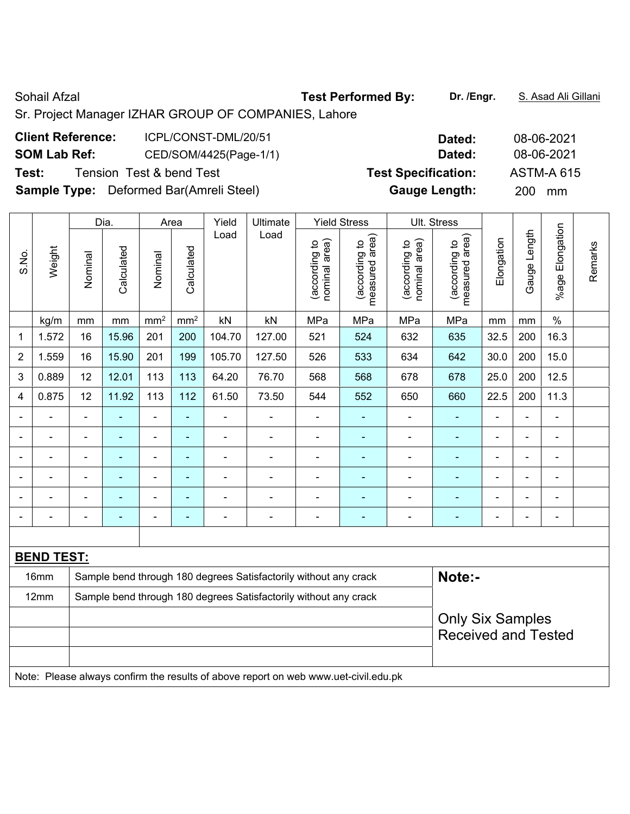Sohail Afzal **Test Performed By: Dr. /Engr.** S. Asad Ali Gillani Sr. Project Manager IZHAR GROUP OF COMPANIES, Lahore

| <b>Client Reference:</b><br>ICPL/CONST-DML/20/51 | Dated:                     | 08-06-2021        |
|--------------------------------------------------|----------------------------|-------------------|
| <b>SOM Lab Ref:</b><br>CED/SOM/4425(Page-1/1)    | Dated:                     | 08-06-2021        |
| Test:<br>Tension Test & bend Test                | <b>Test Specification:</b> | <b>ASTM-A 615</b> |
| <b>Sample Type:</b> Deformed Bar(Amreli Steel)   | <b>Gauge Length:</b>       | 200<br>mm         |

|                |                   |                                                                  | Dia.           |                 | Area            | Yield          | Ultimate                                                                                             |                                | <b>Yield Stress</b>             |                                | Ult. Stress                     |                |                |                 |         |
|----------------|-------------------|------------------------------------------------------------------|----------------|-----------------|-----------------|----------------|------------------------------------------------------------------------------------------------------|--------------------------------|---------------------------------|--------------------------------|---------------------------------|----------------|----------------|-----------------|---------|
| S.No.          | Weight            | Nominal                                                          | Calculated     | Nominal         | Calculated      | Load           | Load                                                                                                 | nominal area)<br>(according to | measured area)<br>(according to | (according to<br>nominal area) | (according to<br>measured area) | Elongation     | Gauge Length   | %age Elongation | Remarks |
|                | kg/m              | mm                                                               | mm             | mm <sup>2</sup> | mm <sup>2</sup> | kN             | kN                                                                                                   | MPa                            | MPa                             | MPa                            | MPa                             | mm             | mm             | $\%$            |         |
| 1              | 1.572             | 16                                                               | 15.96          | 201             | 200             | 104.70         | 127.00                                                                                               | 521                            | 524                             | 632                            | 635                             | 32.5           | 200            | 16.3            |         |
| $\overline{2}$ | 1.559             | 16                                                               | 15.90          | 201             | 199             | 105.70         | 127.50                                                                                               | 526                            | 533                             | 634                            | 642                             | 30.0           | 200            | 15.0            |         |
| 3              | 0.889             | 12                                                               | 12.01          | 113             | 113             | 64.20          | 76.70                                                                                                | 568                            | 568                             | 678                            | 678                             | 25.0           | 200            | 12.5            |         |
| 4              | 0.875             | 12                                                               | 11.92          | 113             | 112             | 61.50          | 73.50                                                                                                | 544                            | 552                             | 650                            | 660                             | 22.5           | 200            | 11.3            |         |
|                |                   |                                                                  |                | $\blacksquare$  | ä,              |                |                                                                                                      | $\blacksquare$                 | $\blacksquare$                  |                                |                                 |                |                | $\blacksquare$  |         |
|                |                   |                                                                  |                | $\blacksquare$  | $\blacksquare$  |                |                                                                                                      | -                              |                                 |                                |                                 |                | $\blacksquare$ | ä,              |         |
|                | ÷                 | $\blacksquare$                                                   | ä,             | $\blacksquare$  | ÷,              | $\blacksquare$ | $\blacksquare$                                                                                       | L,                             | ä,                              | ä,                             | ä,                              | $\blacksquare$ | ä,             | $\blacksquare$  |         |
|                | $\blacksquare$    | $\blacksquare$                                                   | $\blacksquare$ | $\blacksquare$  | $\blacksquare$  | $\blacksquare$ | $\blacksquare$                                                                                       | ä,                             | $\blacksquare$                  | ä,                             | $\blacksquare$                  |                | ä,             | $\blacksquare$  |         |
|                |                   |                                                                  |                | $\blacksquare$  | $\blacksquare$  |                |                                                                                                      | ä,                             |                                 |                                |                                 |                | Ē,             | L,              |         |
|                |                   |                                                                  |                | $\blacksquare$  |                 |                | $\blacksquare$                                                                                       | ä,                             |                                 |                                |                                 |                |                | L,              |         |
|                |                   |                                                                  |                |                 |                 |                |                                                                                                      |                                |                                 |                                |                                 |                |                |                 |         |
|                | <b>BEND TEST:</b> |                                                                  |                |                 |                 |                |                                                                                                      |                                |                                 |                                |                                 |                |                |                 |         |
|                | 16mm              |                                                                  |                |                 |                 |                | Sample bend through 180 degrees Satisfactorily without any crack                                     |                                |                                 |                                | Note:-                          |                |                |                 |         |
|                | 12mm              | Sample bend through 180 degrees Satisfactorily without any crack |                |                 |                 |                |                                                                                                      |                                |                                 |                                |                                 |                |                |                 |         |
|                |                   |                                                                  |                |                 |                 |                |                                                                                                      |                                |                                 |                                | <b>Only Six Samples</b>         |                |                |                 |         |
|                |                   |                                                                  |                |                 |                 |                |                                                                                                      |                                |                                 |                                | <b>Received and Tested</b>      |                |                |                 |         |
|                |                   |                                                                  |                |                 |                 |                |                                                                                                      |                                |                                 |                                |                                 |                |                |                 |         |
|                |                   |                                                                  |                |                 |                 |                | Mater Dissex showed a sufficient the meanity of also consecuted and conservational studies developed |                                |                                 |                                |                                 |                |                |                 |         |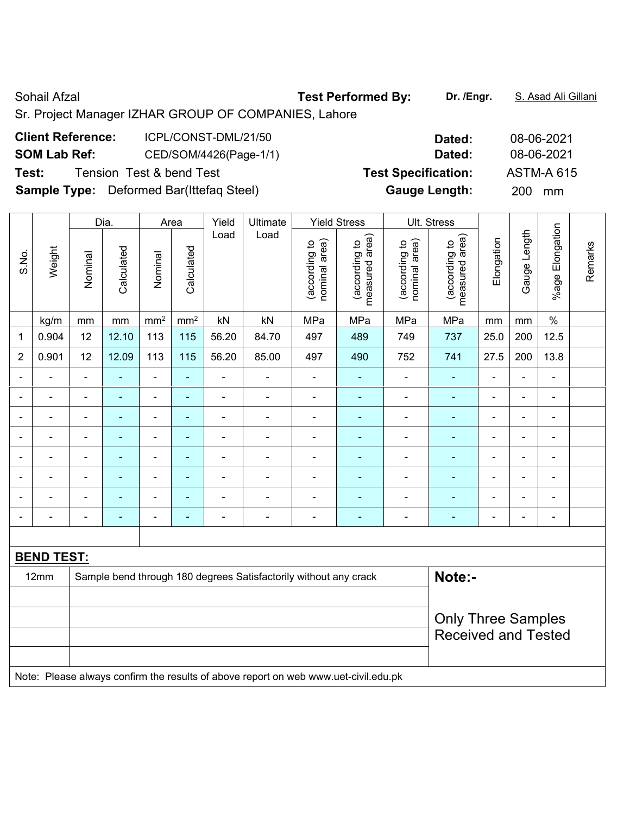Sohail Afzal **Test Performed By:** Dr. /Engr. **S. Asad Ali Gillani** Afzal Ali Gillani Sr. Project Manager IZHAR GROUP OF COMPANIES, Lahore

| <b>Client Reference:</b> | ICPL/CONST-DML/21/50                            | Dated:                     | 08-06-2021        |
|--------------------------|-------------------------------------------------|----------------------------|-------------------|
| <b>SOM Lab Ref:</b>      | CED/SOM/4426(Page-1/1)                          | Dated:                     | 08-06-2021        |
| Test:                    | Tension Test & bend Test                        | <b>Test Specification:</b> | <b>ASTM-A 615</b> |
|                          | <b>Sample Type:</b> Deformed Bar(Ittefag Steel) | <b>Gauge Length:</b>       | <b>200</b><br>mm  |

|                |                   |                                                                            | Dia.           |                              | Area            | Yield<br>Ultimate |                | <b>Yield Stress</b>            |                                 | Ult. Stress                    |                                 |                              |                |                 |         |
|----------------|-------------------|----------------------------------------------------------------------------|----------------|------------------------------|-----------------|-------------------|----------------|--------------------------------|---------------------------------|--------------------------------|---------------------------------|------------------------------|----------------|-----------------|---------|
| S.No.          | Weight            | Nominal                                                                    | Calculated     | Nominal                      | Calculated      | Load              | Load           | nominal area)<br>(according to | (according to<br>measured area) | nominal area)<br>(according to | measured area)<br>(according to | Elongation                   | Gauge Length   | %age Elongation | Remarks |
|                | kg/m              | mm                                                                         | mm             | mm <sup>2</sup>              | mm <sup>2</sup> | kN                | kN             | MPa                            | MPa                             | MPa                            | MPa                             | mm                           | mm             | $\%$            |         |
| 1              | 0.904             | 12                                                                         | 12.10          | 113                          | 115             | 56.20             | 84.70          | 497                            | 489                             | 749                            | 737                             | 25.0                         | 200            | 12.5            |         |
| $\overline{2}$ | 0.901             | 12                                                                         | 12.09          | 113                          | 115             | 56.20             | 85.00          | 497                            | 490                             | 752                            | 741                             | 27.5                         | 200            | 13.8            |         |
| ۳              | $\blacksquare$    | $\blacksquare$                                                             | ÷              | ÷,                           | ÷,              | $\blacksquare$    | $\blacksquare$ | $\blacksquare$                 | ä,                              |                                | $\blacksquare$                  | $\blacksquare$               | ä,             | ä,              |         |
|                |                   |                                                                            | $\blacksquare$ | ä,                           | ÷               | $\blacksquare$    | $\blacksquare$ | $\overline{\phantom{0}}$       | $\blacksquare$                  |                                | ٠                               |                              | $\blacksquare$ | ۰               |         |
|                | ۰                 | $\blacksquare$                                                             | $\blacksquare$ |                              | ۰               | $\blacksquare$    | $\blacksquare$ | $\blacksquare$                 | $\blacksquare$                  | $\blacksquare$                 | $\blacksquare$                  |                              | ä,             | $\blacksquare$  |         |
| $\blacksquare$ | ۰                 | $\blacksquare$                                                             | ۰              | $\overline{\phantom{0}}$     | ۰               | $\blacksquare$    | $\blacksquare$ | $\blacksquare$                 | $\blacksquare$                  | $\blacksquare$                 | ۰                               | $\qquad \qquad \blacksquare$ | $\blacksquare$ | $\blacksquare$  |         |
|                | $\blacksquare$    | $\blacksquare$                                                             | $\blacksquare$ | $\qquad \qquad \blacksquare$ | ÷               | $\blacksquare$    | $\blacksquare$ | $\blacksquare$                 | $\blacksquare$                  | $\blacksquare$                 | $\blacksquare$                  | $\blacksquare$               | ä,             | ä,              |         |
|                |                   |                                                                            |                | -                            |                 |                   | $\blacksquare$ | $\blacksquare$                 |                                 |                                | $\blacksquare$                  |                              | $\blacksquare$ | $\blacksquare$  |         |
|                | $\blacksquare$    | $\blacksquare$                                                             | $\blacksquare$ | $\overline{\phantom{a}}$     | ۰               | $\blacksquare$    | $\blacksquare$ | ٠                              |                                 |                                | ۰                               | $\overline{\phantom{0}}$     | $\blacksquare$ | $\blacksquare$  |         |
| $\blacksquare$ | ۰                 | $\blacksquare$                                                             | ۰              | $\overline{\phantom{a}}$     | ۰               | $\blacksquare$    | $\overline{a}$ | $\overline{\phantom{a}}$       | $\blacksquare$                  | $\overline{\phantom{a}}$       | ۰                               | $\qquad \qquad \blacksquare$ | -              | $\blacksquare$  |         |
|                |                   |                                                                            |                |                              |                 |                   |                |                                |                                 |                                |                                 |                              |                |                 |         |
|                | <b>BEND TEST:</b> |                                                                            |                |                              |                 |                   |                |                                |                                 |                                |                                 |                              |                |                 |         |
|                | 12mm              | Note:-<br>Sample bend through 180 degrees Satisfactorily without any crack |                |                              |                 |                   |                |                                |                                 |                                |                                 |                              |                |                 |         |
|                |                   |                                                                            |                |                              |                 |                   |                |                                |                                 |                                |                                 |                              |                |                 |         |
|                |                   |                                                                            |                |                              |                 |                   |                |                                |                                 |                                | <b>Only Three Samples</b>       |                              |                |                 |         |
|                |                   |                                                                            |                |                              |                 |                   |                |                                |                                 |                                | <b>Received and Tested</b>      |                              |                |                 |         |
|                |                   |                                                                            |                |                              |                 |                   |                |                                |                                 |                                |                                 |                              |                |                 |         |
|                |                   |                                                                            |                |                              |                 |                   |                |                                |                                 |                                |                                 |                              |                |                 |         |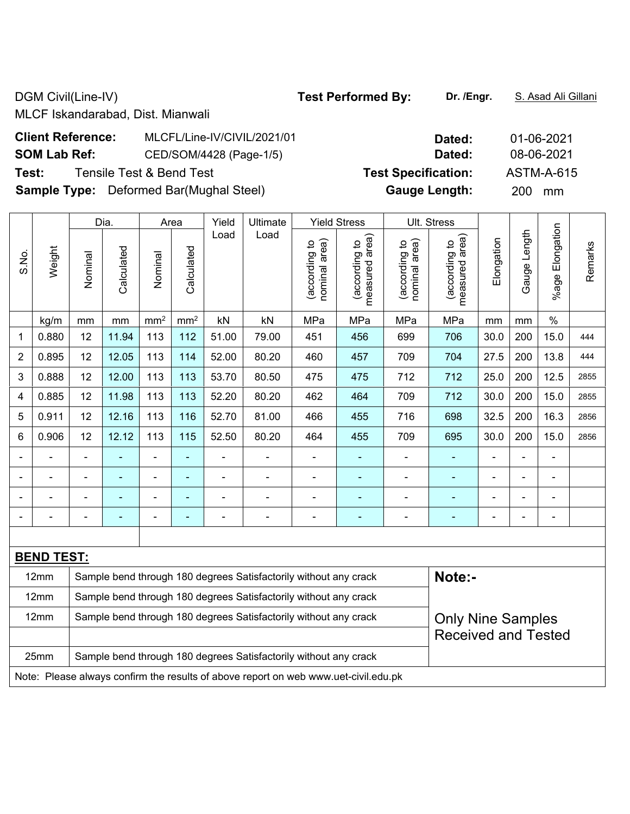DGM Civil(Line-IV) **Test Performed By:** Dr. /Engr. **S. Asad Ali Gillani** Ali Gillani

MLCF Iskandarabad, Dist. Mianwali

| <b>Client Reference:</b> | MLCFL/Line-IV/CIVIL/2021/01                    | Dated:                     | 01-06-2021        |
|--------------------------|------------------------------------------------|----------------------------|-------------------|
| <b>SOM Lab Ref:</b>      | CED/SOM/4428 (Page-1/5)                        | Dated:                     | 08-06-2021        |
| Test:                    | Tensile Test & Bend Test                       | <b>Test Specification:</b> | <b>ASTM-A-615</b> |
|                          | <b>Sample Type:</b> Deformed Bar(Mughal Steel) | <b>Gauge Length:</b>       | 200<br>mm         |

|                                                                          |                   | Dia.           |                | Area                         | Yield           | <b>Ultimate</b> | <b>Yield Stress</b> |                                |                                 | Ult. Stress                    |                                    |            |              |                    |         |
|--------------------------------------------------------------------------|-------------------|----------------|----------------|------------------------------|-----------------|-----------------|---------------------|--------------------------------|---------------------------------|--------------------------------|------------------------------------|------------|--------------|--------------------|---------|
| S.No.                                                                    | Weight            | Nominal        | Calculated     | Nominal                      | Calculated      | Load            | Load                | nominal area)<br>(according to | measured area)<br>(according to | nominal area)<br>(according to | area)<br>(according to<br>measured | Elongation | Gauge Length | Elongation<br>%age | Remarks |
|                                                                          | kg/m              | mm             | mm             | mm <sup>2</sup>              | mm <sup>2</sup> | kN              | kN                  | MPa                            | MPa                             | MPa                            | MPa                                | mm         | mm           | $\%$               |         |
| 1                                                                        | 0.880             | 12             | 11.94          | 113                          | 112             | 51.00           | 79.00               | 451                            | 456                             | 699                            | 706                                | 30.0       | 200          | 15.0               | 444     |
| $\overline{2}$                                                           | 0.895             | 12             | 12.05          | 113                          | 114             | 52.00           | 80.20               | 460                            | 457                             | 709                            | 704                                | 27.5       | 200          | 13.8               | 444     |
| 3                                                                        | 0.888             | 12             | 12.00          | 113                          | 113             | 53.70           | 80.50               | 475                            | 475                             | 712                            | 712                                | 25.0       | 200          | 12.5               | 2855    |
| 4                                                                        | 0.885             | 12             | 11.98          | 113                          | 113             | 52.20           | 80.20               | 462                            | 464                             | 709                            | 712                                | 30.0       | 200          | 15.0               | 2855    |
| 5                                                                        | 0.911             | 12             | 12.16          | 113                          | 116             | 52.70           | 81.00               | 466                            | 455                             | 716                            | 698                                | 32.5       | 200          | 16.3               | 2856    |
| 6                                                                        | 0.906             | 12             | 12.12          | 113                          | 115             | 52.50           | 80.20               | 464                            | 455                             | 709                            | 695                                | 30.0       | 200          | 15.0               | 2856    |
|                                                                          |                   | $\blacksquare$ | $\blacksquare$ | $\qquad \qquad \blacksquare$ | $\blacksquare$  |                 | $\blacksquare$      | $\blacksquare$                 |                                 | $\blacksquare$                 | $\blacksquare$                     |            | Ē,           | $\blacksquare$     |         |
|                                                                          |                   |                |                | ۰                            |                 |                 |                     |                                |                                 |                                |                                    |            |              |                    |         |
|                                                                          |                   |                | $\blacksquare$ | $\blacksquare$               | ÷               |                 | $\blacksquare$      | $\overline{\phantom{0}}$       |                                 |                                |                                    |            | ÷            | ۰                  |         |
|                                                                          |                   |                |                | ÷                            | $\overline{a}$  |                 | $\blacksquare$      | $\blacksquare$                 |                                 | $\blacksquare$                 | $\overline{\phantom{a}}$           | ٠          |              | ÷                  |         |
|                                                                          |                   |                |                |                              |                 |                 |                     |                                |                                 |                                |                                    |            |              |                    |         |
|                                                                          | <b>BEND TEST:</b> |                |                |                              |                 |                 |                     |                                |                                 |                                |                                    |            |              |                    |         |
| 12mm<br>Sample bend through 180 degrees Satisfactorily without any crack |                   |                |                |                              |                 |                 | Note:-              |                                |                                 |                                |                                    |            |              |                    |         |
| Sample bend through 180 degrees Satisfactorily without any crack<br>12mm |                   |                |                |                              |                 |                 |                     |                                |                                 |                                |                                    |            |              |                    |         |
| Sample bend through 180 degrees Satisfactorily without any crack<br>12mm |                   |                |                |                              |                 |                 |                     | <b>Only Nine Samples</b>       |                                 |                                |                                    |            |              |                    |         |
|                                                                          |                   |                |                |                              |                 |                 |                     |                                |                                 |                                | <b>Received and Tested</b>         |            |              |                    |         |
| 25mm<br>Sample bend through 180 degrees Satisfactorily without any crack |                   |                |                |                              |                 |                 |                     |                                |                                 |                                |                                    |            |              |                    |         |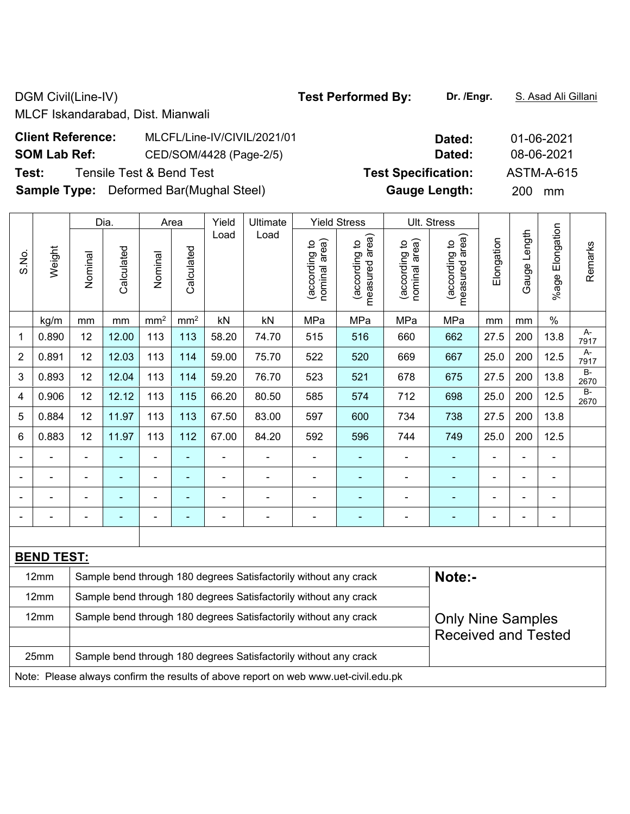DGM Civil(Line-IV) **Test Performed By:** Dr. /Engr. **S. Asad Ali Gillani** 

MLCF Iskandarabad, Dist. Mianwali

| <b>Client Reference:</b> | MLCFL/Line-IV/CIVIL/2021/01                    | Dated:                     | 01-06-2021       |
|--------------------------|------------------------------------------------|----------------------------|------------------|
| <b>SOM Lab Ref:</b>      | CED/SOM/4428 (Page-2/5)                        | Dated:                     | 08-06-2021       |
| Test:                    | Tensile Test & Bend Test                       | <b>Test Specification:</b> | ASTM-A-615       |
|                          | <b>Sample Type:</b> Deformed Bar(Mughal Steel) | <b>Gauge Length:</b>       | <b>200</b><br>mm |

|                                                                          |                   | Dia.    |            |                 | Area                     | Yield<br>Ultimate |                                                                  |                                | <b>Yield Stress</b>             |                                | Ult. Stress                        |            |                |                       |               |
|--------------------------------------------------------------------------|-------------------|---------|------------|-----------------|--------------------------|-------------------|------------------------------------------------------------------|--------------------------------|---------------------------------|--------------------------------|------------------------------------|------------|----------------|-----------------------|---------------|
| S.No.                                                                    | Weight            | Nominal | Calculated | Nominal         | Calculated               | Load              | Load                                                             | nominal area)<br>(according to | measured area)<br>(according to | nominal area)<br>(according to | area)<br>(according to<br>measured | Elongation | Gauge Length   | Elongation<br>$%$ age | Remarks       |
|                                                                          | kg/m              | mm      | mm         | mm <sup>2</sup> | mm <sup>2</sup>          | kN                | kN                                                               | MPa                            | MPa                             | MPa                            | MPa                                | mm         | mm             | $\%$                  |               |
| 1                                                                        | 0.890             | 12      | 12.00      | 113             | 113                      | 58.20             | 74.70                                                            | 515                            | 516                             | 660                            | 662                                | 27.5       | 200            | 13.8                  | A-<br>7917    |
| 2                                                                        | 0.891             | 12      | 12.03      | 113             | 114                      | 59.00             | 75.70                                                            | 522                            | 520                             | 669                            | 667                                | 25.0       | 200            | 12.5                  | A-<br>7917    |
| 3                                                                        | 0.893             | 12      | 12.04      | 113             | 114                      | 59.20             | 76.70                                                            | 523                            | 521                             | 678                            | 675                                | 27.5       | 200            | 13.8                  | $B -$<br>2670 |
| 4                                                                        | 0.906             | 12      | 12.12      | 113             | 115                      | 66.20             | 80.50                                                            | 585                            | 574                             | 712                            | 698                                | 25.0       | 200            | 12.5                  | $B -$<br>2670 |
| 5                                                                        | 0.884             | 12      | 11.97      | 113             | 113                      | 67.50             | 83.00                                                            | 597                            | 600                             | 734                            | 738                                | 27.5       | 200            | 13.8                  |               |
| 6                                                                        | 0.883             | 12      | 11.97      | 113             | 112                      | 67.00             | 84.20                                                            | 592                            | 596                             | 744                            | 749                                | 25.0       | 200            | 12.5                  |               |
|                                                                          |                   |         | ٠          | $\blacksquare$  | ٠                        |                   | -                                                                | $\blacksquare$                 |                                 |                                |                                    |            | ä,             | $\blacksquare$        |               |
|                                                                          |                   |         |            | $\overline{a}$  | $\overline{\phantom{0}}$ |                   | -                                                                |                                |                                 |                                |                                    |            | $\blacksquare$ | -                     |               |
|                                                                          |                   |         |            | $\overline{a}$  | ÷                        |                   | $\blacksquare$                                                   |                                |                                 |                                |                                    |            | Ē,             | $\blacksquare$        |               |
|                                                                          |                   |         |            | ۰               | -                        |                   | $\blacksquare$                                                   |                                |                                 |                                |                                    |            | $\blacksquare$ |                       |               |
|                                                                          |                   |         |            |                 |                          |                   |                                                                  |                                |                                 |                                |                                    |            |                |                       |               |
|                                                                          | <b>BEND TEST:</b> |         |            |                 |                          |                   |                                                                  |                                |                                 |                                |                                    |            |                |                       |               |
| 12mm<br>Sample bend through 180 degrees Satisfactorily without any crack |                   |         |            |                 |                          |                   | Note:-                                                           |                                |                                 |                                |                                    |            |                |                       |               |
|                                                                          | 12mm              |         |            |                 |                          |                   | Sample bend through 180 degrees Satisfactorily without any crack |                                |                                 |                                |                                    |            |                |                       |               |
|                                                                          | 12mm              |         |            |                 |                          |                   | Sample bend through 180 degrees Satisfactorily without any crack |                                |                                 |                                | <b>Only Nine Samples</b>           |            |                |                       |               |
|                                                                          |                   |         |            |                 |                          |                   |                                                                  |                                |                                 | <b>Received and Tested</b>     |                                    |            |                |                       |               |

25mm | Sample bend through 180 degrees Satisfactorily without any crack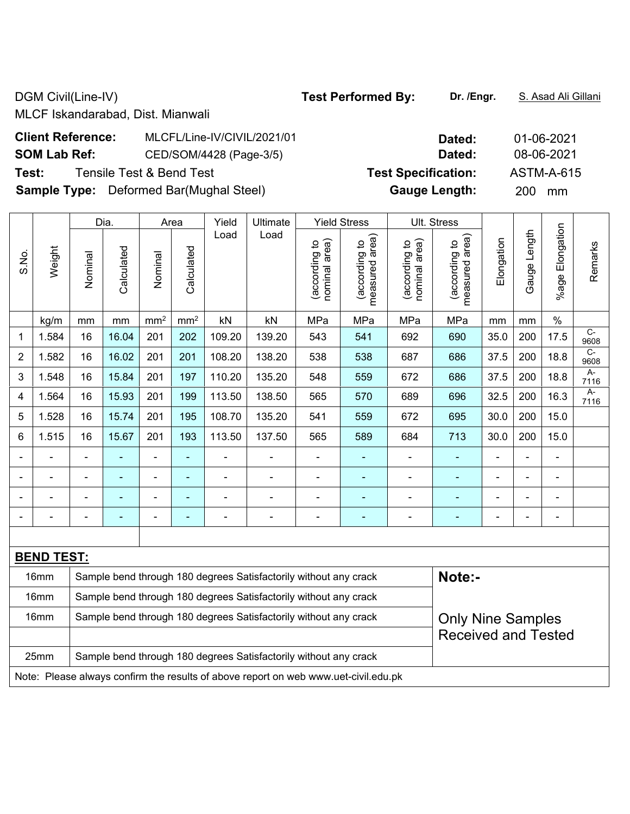DGM Civil(Line-IV) **Test Performed By:** Dr. /Engr. **S. Asad Ali Gillani** Ali Gillani

MLCF Iskandarabad, Dist. Mianwali

| <b>Client Reference:</b> | MLCFL/Line-IV/CIVIL/2021/01                    | Dated:                     | 01-06-2021        |
|--------------------------|------------------------------------------------|----------------------------|-------------------|
| <b>SOM Lab Ref:</b>      | CED/SOM/4428 (Page-3/5)                        | Dated:                     | 08-06-2021        |
| Test:                    | Tensile Test & Bend Test                       | <b>Test Specification:</b> | <b>ASTM-A-615</b> |
|                          | <b>Sample Type:</b> Deformed Bar(Mughal Steel) | <b>Gauge Length:</b>       | 200 mm            |

|                                                                          |                   |                                                                  | Dia.       |                 | Area            | Yield  | <b>Ultimate</b>          |                                | <b>Yield Stress</b>                |                                | Ult. Stress                        |                |                          |                          |                        |
|--------------------------------------------------------------------------|-------------------|------------------------------------------------------------------|------------|-----------------|-----------------|--------|--------------------------|--------------------------------|------------------------------------|--------------------------------|------------------------------------|----------------|--------------------------|--------------------------|------------------------|
| S.No.                                                                    | Weight            | Nominal                                                          | Calculated | Nominal         | Calculated      | Load   | Load                     | nominal area)<br>(according to | area)<br>(according to<br>measured | nominal area)<br>(according to | area)<br>(according to<br>measured | Elongation     | Gauge Length             | Elongation<br>$%$ age    | Remarks                |
|                                                                          | kg/m              | mm                                                               | mm         | mm <sup>2</sup> | mm <sup>2</sup> | kN     | kN                       | MPa                            | MPa                                | MPa                            | MPa                                | mm             | mm                       | $\%$                     |                        |
| 1                                                                        | 1.584             | 16                                                               | 16.04      | 201             | 202             | 109.20 | 139.20                   | 543                            | 541                                | 692                            | 690                                | 35.0           | 200                      | 17.5                     | $\overline{C}$<br>9608 |
| $\overline{2}$                                                           | 1.582             | 16                                                               | 16.02      | 201             | 201             | 108.20 | 138.20                   | 538                            | 538                                | 687                            | 686                                | 37.5           | 200                      | 18.8                     | $C-$<br>9608           |
| 3                                                                        | 1.548             | 16                                                               | 15.84      | 201             | 197             | 110.20 | 135.20                   | 548                            | 559                                | 672                            | 686                                | 37.5           | 200                      | 18.8                     | A-<br>7116             |
| 4                                                                        | 1.564             | 16                                                               | 15.93      | 201             | 199             | 113.50 | 138.50                   | 565                            | 570                                | 689                            | 696                                | 32.5           | 200                      | 16.3                     | $A-$<br>7116           |
| 5                                                                        | 1.528             | 16                                                               | 15.74      | 201             | 195             | 108.70 | 135.20                   | 541                            | 559                                | 672                            | 695                                | 30.0           | 200                      | 15.0                     |                        |
| 6                                                                        | 1.515             | 16                                                               | 15.67      | 201             | 193             | 113.50 | 137.50                   | 565                            | 589                                | 684                            | 713                                | 30.0           | 200                      | 15.0                     |                        |
|                                                                          |                   |                                                                  |            | -               | ۰               |        |                          | $\qquad \qquad \blacksquare$   | ۰                                  | $\blacksquare$                 | ٠                                  |                |                          | $\blacksquare$           |                        |
|                                                                          |                   | ٠                                                                | ۰          | $\blacksquare$  | ۰               |        |                          | $\qquad \qquad \blacksquare$   | ۰                                  | -                              |                                    | $\blacksquare$ |                          | $\blacksquare$           |                        |
|                                                                          |                   | $\overline{\phantom{0}}$                                         | ۰          | $\blacksquare$  | ۰               |        | $\overline{\phantom{0}}$ | $\blacksquare$                 | ۰                                  | -                              |                                    | $\blacksquare$ | $\overline{\phantom{0}}$ | $\blacksquare$           |                        |
| $\blacksquare$                                                           |                   | $\blacksquare$                                                   |            | -               |                 |        | $\blacksquare$           | $\overline{a}$                 | ۰                                  | -                              | ۰                                  | $\blacksquare$ | $\overline{\phantom{a}}$ | $\overline{\phantom{a}}$ |                        |
|                                                                          |                   |                                                                  |            |                 |                 |        |                          |                                |                                    |                                |                                    |                |                          |                          |                        |
|                                                                          | <b>BEND TEST:</b> |                                                                  |            |                 |                 |        |                          |                                |                                    |                                |                                    |                |                          |                          |                        |
| 16mm<br>Sample bend through 180 degrees Satisfactorily without any crack |                   |                                                                  |            |                 | Note:-          |        |                          |                                |                                    |                                |                                    |                |                          |                          |                        |
|                                                                          | 16mm              | Sample bend through 180 degrees Satisfactorily without any crack |            |                 |                 |        |                          |                                |                                    |                                |                                    |                |                          |                          |                        |

16mm Sample bend through 180 degrees Satisfactorily without any crack

25mm | Sample bend through 180 degrees Satisfactorily without any crack

Note: Please always confirm the results of above report on web www.uet-civil.edu.pk

|      | __           | .          |                     | --              |  |
|------|--------------|------------|---------------------|-----------------|--|
| Area | <b>Nield</b> | l Ultimate | <b>Yield Stress</b> | l IIt<br>Stress |  |

Only Nine Samples Received and Tested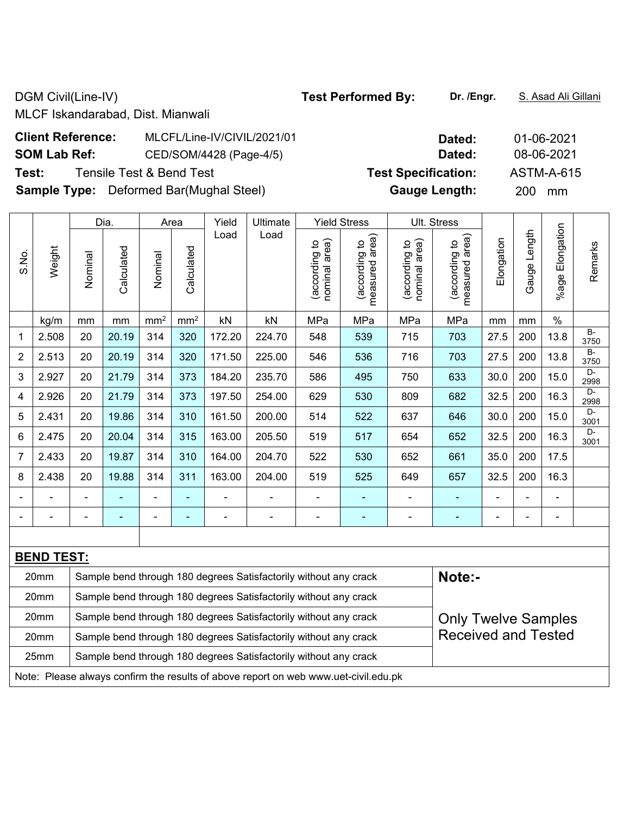DGM Civil(Line-IV) **Test Performed By:** Dr. /Engr. **S. Asad Ali Gillani** 

MLCF Iskandarabad, Dist. Mianwali

| <b>Client Reference:</b> | MLCFL/Line-IV/CIVIL/2021/01                    | Dated:                     | 01-06-2021        |
|--------------------------|------------------------------------------------|----------------------------|-------------------|
| <b>SOM Lab Ref:</b>      | CED/SOM/4428 (Page-4/5)                        | Dated:                     | 08-06-2021        |
| Test:                    | Tensile Test & Bend Test                       | <b>Test Specification:</b> | <b>ASTM-A-615</b> |
|                          | <b>Sample Type:</b> Deformed Bar(Mughal Steel) | <b>Gauge Length:</b>       | <b>200</b><br>mm  |

|                |                   |         | Dia.       |                 | Area                     | Yield  | <b>Ultimate</b>                                                  |                                   | <b>Yield Stress</b>                |                                | Ult. Stress                     |                          |                   |                       |                   |
|----------------|-------------------|---------|------------|-----------------|--------------------------|--------|------------------------------------------------------------------|-----------------------------------|------------------------------------|--------------------------------|---------------------------------|--------------------------|-------------------|-----------------------|-------------------|
| S.No.          | Weight            | Nominal | Calculated | Nominal         | Calculated               | Load   | Load                                                             | area)<br>(according to<br>nominal | area)<br>(according to<br>measured | nominal area)<br>(according to | measured area)<br>(according to | Elongation               | Length<br>Gauge I | Elongation<br>$%$ age | Remarks           |
|                | kg/m              | mm      | mm         | mm <sup>2</sup> | mm <sup>2</sup>          | kN     | kN                                                               | MPa                               | MPa                                | MPa                            | MPa                             | mm                       | mm                | $\%$                  |                   |
| 1              | 2.508             | 20      | 20.19      | 314             | 320                      | 172.20 | 224.70                                                           | 548                               | 539                                | 715                            | 703                             | 27.5                     | 200               | 13.8                  | <b>B-</b><br>3750 |
| $\overline{2}$ | 2.513             | 20      | 20.19      | 314             | 320                      | 171.50 | 225.00                                                           | 546                               | 536                                | 716                            | 703                             | 27.5                     | 200               | 13.8                  | $B -$<br>3750     |
| 3              | 2.927             | 20      | 21.79      | 314             | 373                      | 184.20 | 235.70                                                           | 586                               | 495                                | 750                            | 633                             | 30.0                     | 200               | 15.0                  | $D -$<br>2998     |
| 4              | 2.926             | 20      | 21.79      | 314             | 373                      | 197.50 | 254.00                                                           | 629                               | 530                                | 809                            | 682                             | 32.5                     | 200               | 16.3                  | D-<br>2998        |
| 5              | 2.431             | 20      | 19.86      | 314             | 310                      | 161.50 | 200.00                                                           | 514                               | 522                                | 637                            | 646                             | 30.0                     | 200               | 15.0                  | D-<br>3001        |
| 6              | 2.475             | 20      | 20.04      | 314             | 315                      | 163.00 | 205.50                                                           | 519                               | 517                                | 654                            | 652                             | 32.5                     | 200               | 16.3                  | D-<br>3001        |
| 7              | 2.433             | 20      | 19.87      | 314             | 310                      | 164.00 | 204.70                                                           | 522                               | 530                                | 652                            | 661                             | 35.0                     | 200               | 17.5                  |                   |
| 8              | 2.438             | 20      | 19.88      | 314             | 311                      | 163.00 | 204.00                                                           | 519                               | 525                                | 649                            | 657                             | 32.5                     | 200               | 16.3                  |                   |
|                |                   |         |            | $\blacksquare$  | $\blacksquare$           |        |                                                                  |                                   |                                    |                                |                                 |                          |                   | $\blacksquare$        |                   |
|                |                   |         |            | ۰               | $\overline{\phantom{0}}$ |        |                                                                  | $\blacksquare$                    |                                    | $\overline{\phantom{0}}$       | $\overline{\phantom{0}}$        | $\overline{\phantom{0}}$ |                   | $\blacksquare$        |                   |
|                |                   |         |            |                 |                          |        |                                                                  |                                   |                                    |                                |                                 |                          |                   |                       |                   |
|                | <b>BEND TEST:</b> |         |            |                 |                          |        |                                                                  |                                   |                                    |                                |                                 |                          |                   |                       |                   |
|                | 20mm              |         |            |                 |                          |        | Sample bend through 180 degrees Satisfactorily without any crack |                                   |                                    |                                | Note:-                          |                          |                   |                       |                   |
|                | 20mm              |         |            |                 |                          |        | Sample bend through 180 degrees Satisfactorily without any crack |                                   |                                    |                                |                                 |                          |                   |                       |                   |

| 20 <sub>mm</sub> | Sample bend through 180 degrees Satisfactorily without any crack                    | <b>Only Twelve Samples</b> |
|------------------|-------------------------------------------------------------------------------------|----------------------------|
| 20 <sub>mm</sub> | Sample bend through 180 degrees Satisfactorily without any crack                    | <b>Received and Tested</b> |
| 25 <sub>mm</sub> | Sample bend through 180 degrees Satisfactorily without any crack                    |                            |
|                  | Note: Please always confirm the results of above report on web www.uet-civil.edu.pk |                            |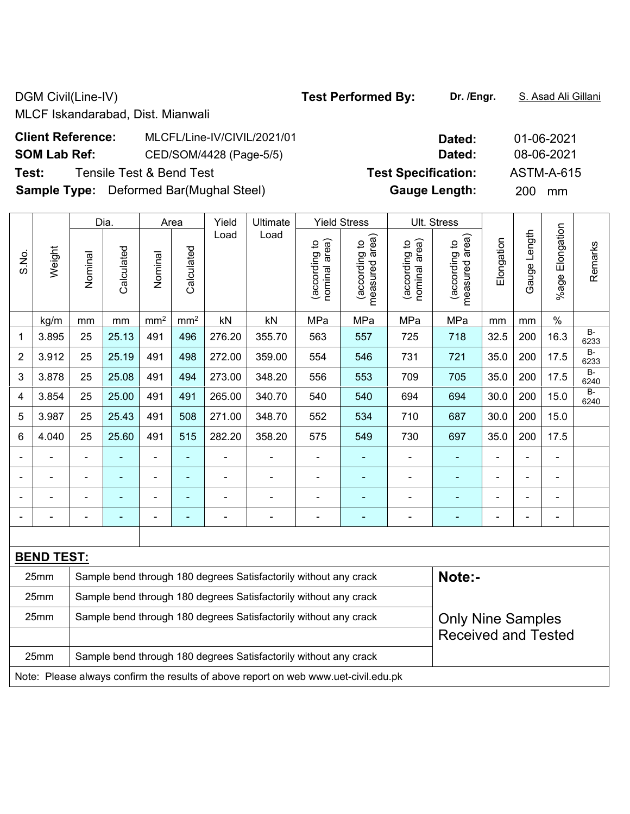DGM Civil(Line-IV) **Test Performed By:** Dr. /Engr. **S. Asad Ali Gillani** Ali Gillani

MLCF Iskandarabad, Dist. Mianwali

| <b>Client Reference:</b> | MLCFL/Line-IV/CIVIL/2021/01                    | Dated:                     | 01-06-2021        |
|--------------------------|------------------------------------------------|----------------------------|-------------------|
| <b>SOM Lab Ref:</b>      | CED/SOM/4428 (Page-5/5)                        | Dated:                     | 08-06-2021        |
| Test:                    | Tensile Test & Bend Test                       | <b>Test Specification:</b> | <b>ASTM-A-615</b> |
|                          | <b>Sample Type:</b> Deformed Bar(Mughal Steel) | <b>Gauge Length:</b>       | 200 mm            |

|                |                   |                | Dia.           |                          | Area            | Yield  | Ultimate                                                         |                                   | <b>Yield Stress</b>                |                                | Ult. Stress                        |                |                |                           |               |
|----------------|-------------------|----------------|----------------|--------------------------|-----------------|--------|------------------------------------------------------------------|-----------------------------------|------------------------------------|--------------------------------|------------------------------------|----------------|----------------|---------------------------|---------------|
| S.No.          | Weight            | Nominal        | Calculated     | Nominal                  | Calculated      | Load   | Load                                                             | area)<br>(according to<br>nominal | area)<br>(according to<br>measured | nominal area)<br>(according to | area)<br>(according to<br>measured | Elongation     | Gauge Length   | Elongation<br>$%$ age $ $ | Remarks       |
|                | kg/m              | mm             | mm             | mm <sup>2</sup>          | mm <sup>2</sup> | kN     | kN                                                               | MPa                               | MPa                                | MPa                            | MPa                                | mm             | mm             | $\%$                      |               |
| 1              | 3.895             | 25             | 25.13          | 491                      | 496             | 276.20 | 355.70                                                           | 563                               | 557                                | 725                            | 718                                | 32.5           | 200            | 16.3                      | $B -$<br>6233 |
| $\overline{2}$ | 3.912             | 25             | 25.19          | 491                      | 498             | 272.00 | 359.00                                                           | 554                               | 546                                | 731                            | 721                                | 35.0           | 200            | 17.5                      | $B -$<br>6233 |
| 3              | 3.878             | 25             | 25.08          | 491                      | 494             | 273.00 | 348.20                                                           | 556                               | 553                                | 709                            | 705                                | 35.0           | 200            | 17.5                      | $B -$<br>6240 |
| 4              | 3.854             | 25             | 25.00          | 491                      | 491             | 265.00 | 340.70                                                           | 540                               | 540                                | 694                            | 694                                | 30.0           | 200            | 15.0                      | $B -$<br>6240 |
| 5              | 3.987             | 25             | 25.43          | 491                      | 508             | 271.00 | 348.70                                                           | 552                               | 534                                | 710                            | 687                                | 30.0           | 200            | 15.0                      |               |
| 6              | 4.040             | 25             | 25.60          | 491                      | 515             | 282.20 | 358.20                                                           | 575                               | 549                                | 730                            | 697                                | 35.0           | 200            | 17.5                      |               |
|                | $\blacksquare$    | $\blacksquare$ | ä,             | $\blacksquare$           | $\blacksquare$  |        | $\blacksquare$                                                   | $\blacksquare$                    | ۰                                  | $\overline{\phantom{0}}$       |                                    | $\blacksquare$ | $\blacksquare$ | $\blacksquare$            |               |
|                |                   |                | $\blacksquare$ | $\blacksquare$           | $\blacksquare$  |        |                                                                  |                                   | ۰                                  |                                |                                    |                |                |                           |               |
|                |                   |                | ä,             | $\overline{\phantom{0}}$ | ÷               |        |                                                                  | $\blacksquare$                    | $\overline{\phantom{0}}$           | ۰                              |                                    |                |                | Ē,                        |               |
|                |                   | ÷              | ۰              | $\blacksquare$           | $\blacksquare$  |        | $\blacksquare$                                                   | $\blacksquare$                    | $\overline{\phantom{0}}$           | $\overline{\phantom{0}}$       | ۰                                  |                |                | $\blacksquare$            |               |
|                |                   |                |                |                          |                 |        |                                                                  |                                   |                                    |                                |                                    |                |                |                           |               |
|                | <b>BEND TEST:</b> |                |                |                          |                 |        |                                                                  |                                   |                                    |                                |                                    |                |                |                           |               |
|                | 25mm              |                |                |                          |                 |        | Sample bend through 180 degrees Satisfactorily without any crack |                                   |                                    |                                | Note:-                             |                |                |                           |               |
|                | 25mm              |                |                |                          |                 |        | Sample bend through 180 degrees Satisfactorily without any crack |                                   |                                    |                                |                                    |                |                |                           |               |
|                | 25mm              |                |                |                          |                 |        | Sample bend through 180 degrees Satisfactorily without any crack |                                   |                                    |                                | <b>Only Nine Samples</b>           |                |                |                           |               |
|                |                   |                |                |                          |                 |        |                                                                  |                                   |                                    |                                | <b>Received and Tested</b>         |                |                |                           |               |

25mm | Sample bend through 180 degrees Satisfactorily without any crack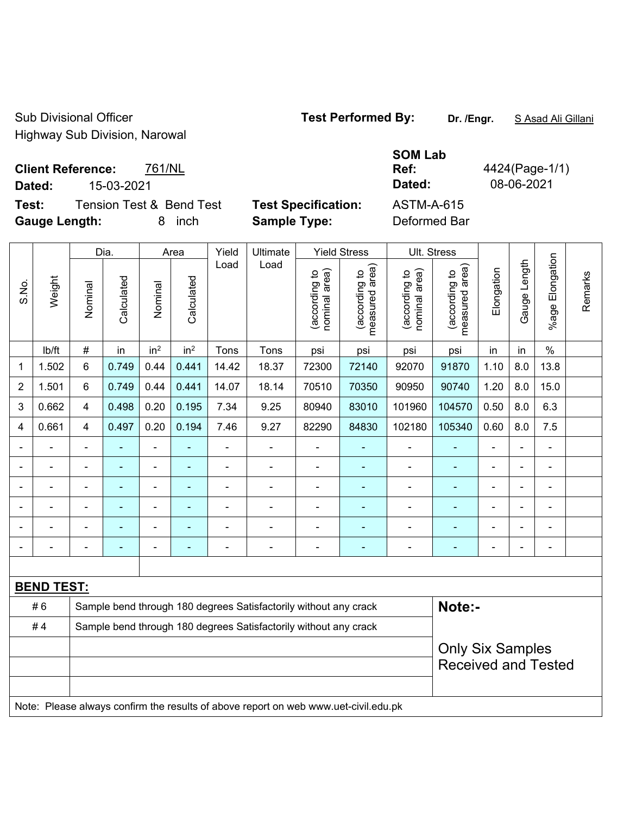Sub Divisional Officer **Test Performed By:** Dr. /Engr. **SAsad Ali Gillani** Sub Divisional Officer Highway Sub Division, Narowal

**SOM Lab** 

**Ref:** 4424(Page-1/1)

**Client Reference:** 761/NL **Dated:** 15-03-2021 **Dated:** 08-06-2021

**Test:** Tension Test & Bend Test **Test Specification:** ASTM-A-615

**Gauge Length:** 8 inch **Sample Type:** Deformed Bar Dia. | Area | Yield | Ultimate | Yield Stress | Ult. Stress  $\frac{1}{2}$ Gauge Length Load Load  $\sim$  $\widehat{\pi}$  $\sim$  $\widehat{\mathbb{E}}$ measured area) measured area)  $\overline{c}$ **Elongation** nominal area) nominal area) (according to (according to (according to (according to **Calculated Calculated** Nominal

|                |                   |                | Dia.           | Area            |                 | Yield          | Ultimate                                                                            | Yield Stress                   |                                 | Ult. Stress                    |                                 |                         |                |                          |         |
|----------------|-------------------|----------------|----------------|-----------------|-----------------|----------------|-------------------------------------------------------------------------------------|--------------------------------|---------------------------------|--------------------------------|---------------------------------|-------------------------|----------------|--------------------------|---------|
| S.No.          | Weight            | Nominal        | Calculated     | Nominal         | Calculated      | Load           | Load                                                                                | nominal area)<br>(according to | (according to<br>measured area) | nominal area)<br>(according to | measured area)<br>(according to | Elongation              | Gauge Length   | %age Elongation          | Remarks |
|                | lb/ft             | #              | in             | in <sup>2</sup> | in <sup>2</sup> | Tons           | Tons                                                                                | psi                            | psi                             | psi                            | psi                             | in                      | in             | $\%$                     |         |
| 1              | 1.502             | 6              | 0.749          | 0.44            | 0.441           | 14.42          | 18.37                                                                               | 72300                          | 72140                           | 92070                          | 91870                           | 1.10                    | 8.0            | 13.8                     |         |
| $\overline{2}$ | 1.501             | 6              | 0.749          | 0.44            | 0.441           | 14.07          | 18.14                                                                               | 70510                          | 70350                           | 90950                          | 90740                           | 1.20                    | 8.0            | 15.0                     |         |
| 3              | 0.662             | $\overline{4}$ | 0.498          | 0.20            | 0.195           | 7.34           | 9.25                                                                                | 80940                          | 83010                           | 101960                         | 104570                          | 0.50                    | 8.0            | 6.3                      |         |
| 4              | 0.661             | $\overline{4}$ | 0.497          | 0.20            | 0.194           | 7.46           | 9.27                                                                                | 82290                          | 84830                           | 102180                         | 105340                          | 0.60                    | 8.0            | 7.5                      |         |
| $\blacksquare$ |                   | -              | ٠              | ÷               | ۰               | $\blacksquare$ | $\blacksquare$                                                                      | ۰                              | $\overline{\phantom{0}}$        | $\blacksquare$                 | ÷                               | $\blacksquare$          | ä,             | $\overline{\phantom{a}}$ |         |
| $\blacksquare$ |                   | $\blacksquare$ | ٠              | ÷               | ÷,              | $\blacksquare$ | $\blacksquare$                                                                      | $\overline{a}$                 | $\blacksquare$                  | $\blacksquare$                 |                                 | $\blacksquare$          | ä,             | $\blacksquare$           |         |
| $\blacksquare$ |                   | $\blacksquare$ | $\blacksquare$ | $\blacksquare$  | $\blacksquare$  | $\blacksquare$ | $\blacksquare$                                                                      | $\blacksquare$                 | $\blacksquare$                  | $\overline{a}$                 | ÷,                              | $\blacksquare$          | $\blacksquare$ | $\blacksquare$           |         |
|                |                   | $\blacksquare$ | ٠              | ä,              | ä,              | $\blacksquare$ | $\blacksquare$                                                                      | $\blacksquare$                 | $\blacksquare$                  | $\blacksquare$                 | $\blacksquare$                  | $\blacksquare$          | $\blacksquare$ | $\blacksquare$           |         |
|                |                   |                |                |                 |                 |                |                                                                                     |                                |                                 | $\blacksquare$                 |                                 |                         |                |                          |         |
|                |                   | $\blacksquare$ |                |                 |                 |                | ÷                                                                                   | $\blacksquare$                 |                                 | Ē,                             |                                 |                         |                |                          |         |
|                |                   |                |                |                 |                 |                |                                                                                     |                                |                                 |                                |                                 |                         |                |                          |         |
|                | <b>BEND TEST:</b> |                |                |                 |                 |                |                                                                                     |                                |                                 |                                |                                 |                         |                |                          |         |
|                | #6                |                |                |                 |                 |                | Sample bend through 180 degrees Satisfactorily without any crack                    |                                |                                 |                                | Note:-                          |                         |                |                          |         |
|                | #4                |                |                |                 |                 |                | Sample bend through 180 degrees Satisfactorily without any crack                    |                                |                                 |                                |                                 |                         |                |                          |         |
|                |                   |                |                |                 |                 |                |                                                                                     |                                |                                 |                                |                                 | <b>Only Six Samples</b> |                |                          |         |
|                |                   |                |                |                 |                 |                |                                                                                     |                                |                                 | <b>Received and Tested</b>     |                                 |                         |                |                          |         |
|                |                   |                |                |                 |                 |                |                                                                                     |                                |                                 |                                |                                 |                         |                |                          |         |
|                |                   |                |                |                 |                 |                | Note: Please always confirm the results of above report on web www.uet-civil.edu.pk |                                |                                 |                                |                                 |                         |                |                          |         |
|                |                   |                |                |                 |                 |                |                                                                                     |                                |                                 |                                |                                 |                         |                |                          |         |